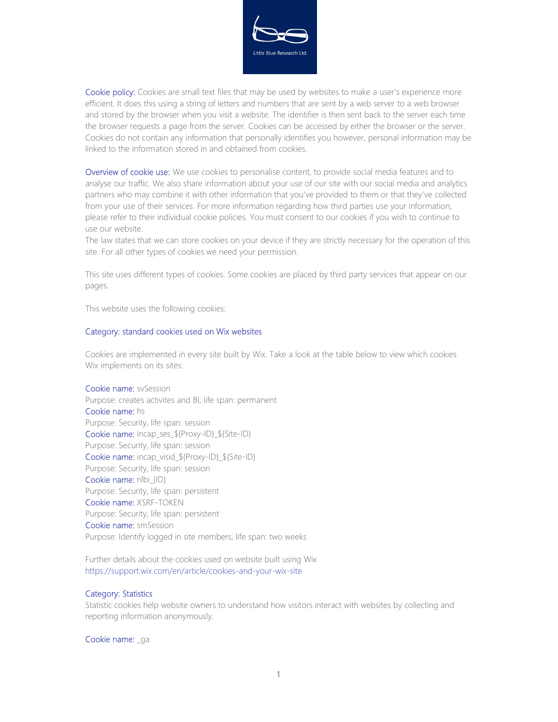

Cookie policy: Cookies are small text files that may be used by websites to make a user's experience more efficient. It does this using a string of letters and numbers that are sent by a web server to a web browser and stored by the browser when you visit a website. The identifier is then sent back to the server each time the browser requests a page from the server. Cookies can be accessed by either the browser or the server. Cookies do not contain any information that personally identifies you however, personal information may be linked to the information stored in and obtained from cookies.

Overview of cookie use: We use cookies to personalise content, to provide social media features and to analyse our traffic. We also share information about your use of our site with our social media and analytics partners who may combine it with other information that you've provided to them or that they've collected from your use of their services. For more information regarding how third parties use your information, please refer to their individual cookie policies. You must consent to our cookies if you wish to continue to use our website.

The law states that we can store cookies on your device if they are strictly necessary for the operation of this site. For all other types of cookies we need your permission.

This site uses different types of cookies. Some cookies are placed by third party services that appear on our pages.

This website uses the following cookies:

## Category: standard cookies used on Wix websites

Cookies are implemented in every site built by Wix. Take a look at the table below to view which cookies Wix implements on its sites:

Cookie name: svSession Purpose: creates activites and BI, life span: permanent Cookie name: hs Purpose: Security, life span: session Cookie name: incap\_ses\_\${Proxy-ID}\_\${Site-ID} Purpose: Security, life span: session Cookie name: incap\_visid\_\${Proxy-ID}\_\${Site-ID} Purpose: Security, life span: session Cookie name: nlbi {ID} Purpose: Security, life span: persistent Cookie name: XSRF-TOKEN Purpose: Security, life span: persistent Cookie name: smSession Purpose: Identify logged in site members, life span: two weeks

Further details about the cookies used on website built using Wix https://support.wix.com/en/article/cookies-and-your-wix-site

## Category: Statistics

Statistic cookies help website owners to understand how visitors interact with websites by collecting and reporting information anonymously.

Cookie name: qa